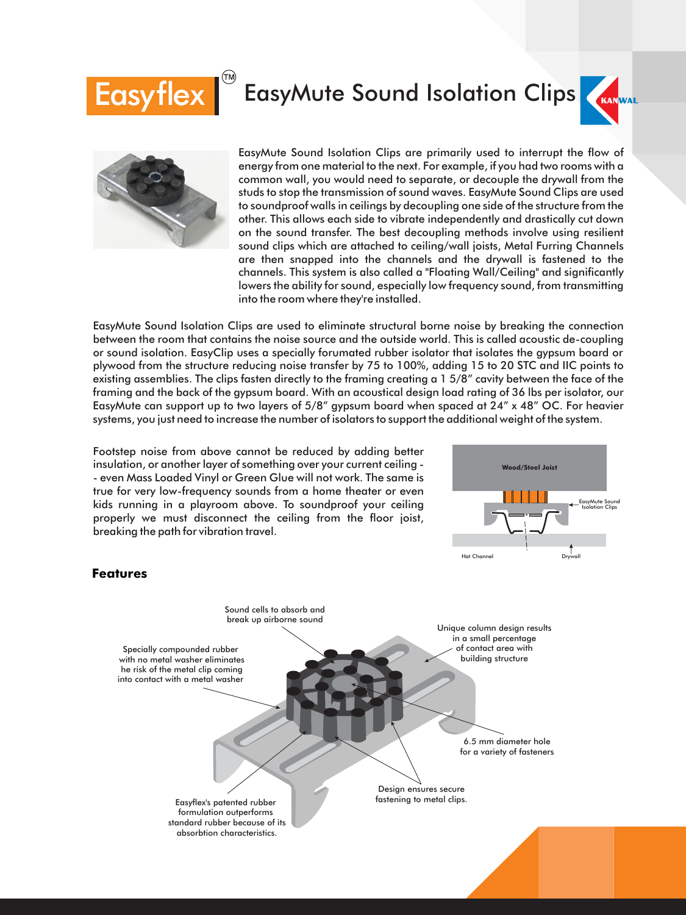# **Easyflex**

### **EasyMute Sound Isolation Clips**





EasyMute Sound Isolation Clips are primarily used to interrupt the flow of energy from one material to the next. For example, if you had two rooms with a common wall, you would need to separate, or decouple the drywall from the studs to stop the transmission of sound waves. EasyMute Sound Clips are used to soundproof walls in ceilings by decoupling one side of the structure from the other. This allows each side to vibrate independently and drastically cut down on the sound transfer. The best decoupling methods involve using resilient sound clips which are attached to ceiling/wall joists, Metal Furring Channels are then snapped into the channels and the drywall is fastened to the channels. This system is also called a "Floating Wall/Ceiling" and significantly lowers the ability for sound, especially low frequency sound, from transmitting into the room where they're installed.

EasyMute Sound Isolation Clips are used to eliminate structural borne noise by breaking the connection between the room that contains the noise source and the outside world. This is called acoustic de-coupling or sound isolation. EasyClip uses a specially forumated rubber isolator that isolates the gypsum board or plywood from the structure reducing noise transfer by 75 to 100%, adding 15 to 20 STC and IIC points to existing assemblies. The clips fasten directly to the framing creating a 1 5/8" cavity between the face of the framing and the back of the gypsum board. With an acoustical design load rating of 36 lbs per isolator, our EasyMute can support up to two layers of 5/8" gypsum board when spaced at 24" x 48" OC. For heavier systems, you just need to increase the number of isolators to support the additional weight of the system.

Footstep noise from above cannot be reduced by adding better insulation, or another layer of something over your current ceiling - - even Mass Loaded Vinyl or Green Glue will not work. The same is true for very low-frequency sounds from a home theater or even kids running in a playroom above. To soundproof your ceiling properly we must disconnect the ceiling from the floor joist, breaking the path for vibration travel.



#### **Features**